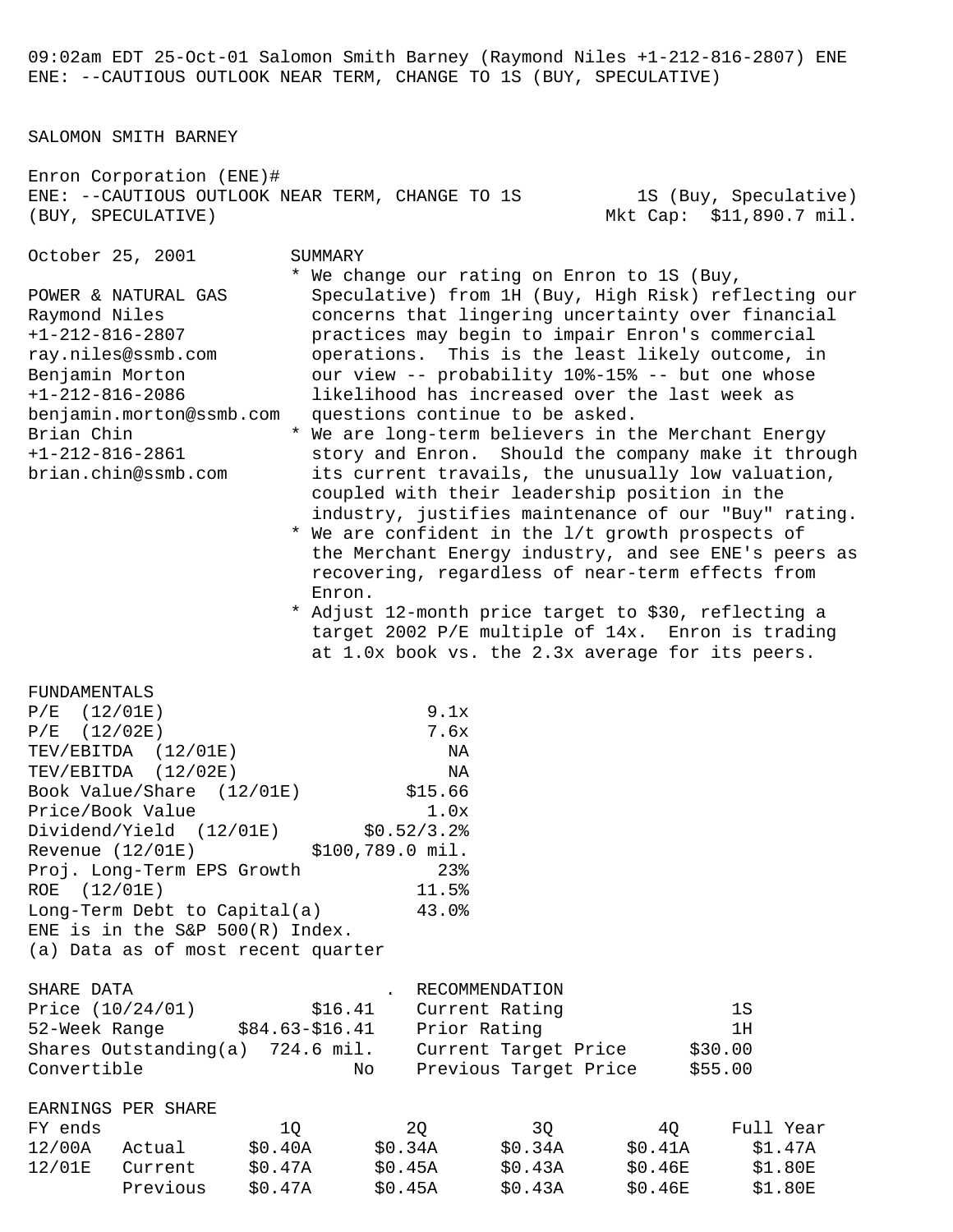09:02am EDT 25-Oct-01 Salomon Smith Barney (Raymond Niles +1-212-816-2807) ENE ENE: --CAUTIOUS OUTLOOK NEAR TERM, CHANGE TO 1S (BUY, SPECULATIVE)

SALOMON SMITH BARNEY

Enron Corporation (ENE)# ENE: --CAUTIOUS OUTLOOK NEAR TERM, CHANGE TO 1S 1S (Buy, Speculative) (BUY, SPECULATIVE) Mkt Cap: \$11,890.7 mil.

October 25, 2001 SUMMARY

\* We change our rating on Enron to 1S (Buy,

POWER & NATURAL GAS Speculative) from 1H (Buy, High Risk) reflecting our

- Raymond Niles extend concerns that lingering uncertainty over financial +1-212-816-2807 practices may begin to impair Enron's commercial ray.niles@ssmb.com operations. This is the least likely outcome, in Benjamin Morton our view -- probability 10%-15% -- but one whose +1-212-816-2086 likelihood has increased over the last week as benjamin.morton@ssmb.com questions continue to be asked. Brian Chin  $*$  We are long-term believers in the Merchant Energy
- +1-212-816-2861 story and Enron. Should the company make it through brian.chin@ssmb.com its current travails, the unusually low valuation, coupled with their leadership position in the industry, justifies maintenance of our "Buy" rating.
	- \* We are confident in the l/t growth prospects of the Merchant Energy industry, and see ENE's peers as recovering, regardless of near-term effects from Enron.
	- \* Adjust 12-month price target to \$30, reflecting a target 2002 P/E multiple of 14x. Enron is trading at 1.0x book vs. the 2.3x average for its peers.

FUNDAMENTALS

| $P/E$ (12/01E)                                                | 9.1x  |                                  |                 |    |
|---------------------------------------------------------------|-------|----------------------------------|-----------------|----|
| $P/E$ (12/02E)                                                | 7.6x  |                                  |                 |    |
| TEV/EBITDA (12/01E)                                           | NA    |                                  |                 |    |
| TEV/EBITDA (12/02E)                                           | NA NA |                                  |                 |    |
| Book Value/Share (12/01E) \$15.66                             |       |                                  |                 |    |
| Price/Book Value 1.0x                                         |       |                                  |                 |    |
| Dividend/Yield (12/01E) \$0.52/3.2%                           |       |                                  |                 |    |
| Revenue (12/01E) \$100,789.0 mil.                             |       |                                  |                 |    |
| Proj. Long-Term EPS Growth 23%                                |       |                                  |                 |    |
| ROE (12/01E)                                                  | 11.5% |                                  |                 |    |
| Long-Term Debt to Capital(a) 43.0%                            |       |                                  |                 |    |
| ENE is in the $S\&P 500(R)$ Index.                            |       |                                  |                 |    |
| (a) Data as of most recent quarter                            |       |                                  |                 |    |
| SHARE DATA                                                    |       | . RECOMMENDATION                 |                 |    |
| Price (10/24/01) \$16.41 Current Rating                       |       |                                  |                 | 1S |
| 52-Week Range \$84.63-\$16.41 Prior Rating                    |       |                                  |                 | 1H |
| Shares Outstanding(a) 724.6 mil. Current Target Price \$30.00 |       |                                  |                 |    |
| Convertible                                                   |       | No Previous Target Price \$55.00 |                 |    |
| EARNINGS PER SHARE                                            |       |                                  |                 |    |
| FY ends                                                       | 1Q 2Q |                                  | 3Q 4Q Full Year |    |
| 12/00A Actual \$0.40A \$0.34A \$0.34A \$0.41A \$1.47A         |       |                                  |                 |    |
| 12/01E Current \$0.47A \$0.45A \$0.43A \$0.46E \$1.80E        |       |                                  |                 |    |
| Previous \$0.47A \$0.45A \$0.43A \$0.46E \$1.80E              |       |                                  |                 |    |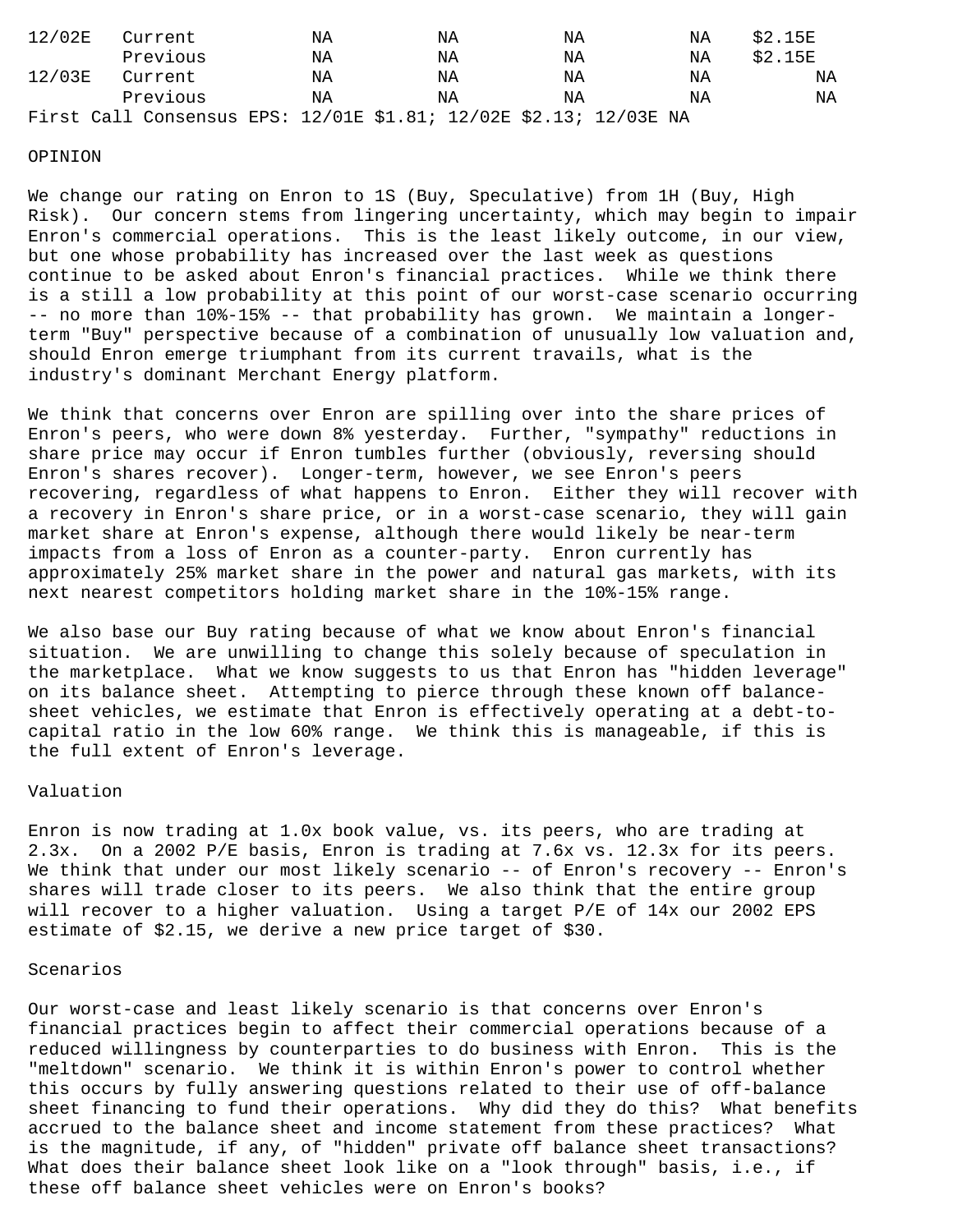| 12/02E | Current                                                           | ΝA | ΝA | ΝA | ΝA | \$2.15E |
|--------|-------------------------------------------------------------------|----|----|----|----|---------|
|        | Previous                                                          | ΝA | ΝA | ΝA | ΝA | \$2.15E |
| 12/03E | Current                                                           | ΝA | ΝA | ΝA | ΝA | ΝA      |
|        | Previous                                                          | ΝA | ΝA | ΝA | ΝA | NA      |
|        | First Call Consensus EPS: 12/01E \$1.81; 12/02E \$2.13; 12/03E NA |    |    |    |    |         |

### OPINION

We change our rating on Enron to 1S (Buy, Speculative) from 1H (Buy, High Risk). Our concern stems from lingering uncertainty, which may begin to impair Enron's commercial operations. This is the least likely outcome, in our view, but one whose probability has increased over the last week as questions continue to be asked about Enron's financial practices. While we think there is a still a low probability at this point of our worst-case scenario occurring -- no more than 10%-15% -- that probability has grown. We maintain a longerterm "Buy" perspective because of a combination of unusually low valuation and, should Enron emerge triumphant from its current travails, what is the industry's dominant Merchant Energy platform.

We think that concerns over Enron are spilling over into the share prices of Enron's peers, who were down 8% yesterday. Further, "sympathy" reductions in share price may occur if Enron tumbles further (obviously, reversing should Enron's shares recover). Longer-term, however, we see Enron's peers recovering, regardless of what happens to Enron. Either they will recover with a recovery in Enron's share price, or in a worst-case scenario, they will gain market share at Enron's expense, although there would likely be near-term impacts from a loss of Enron as a counter-party. Enron currently has approximately 25% market share in the power and natural gas markets, with its next nearest competitors holding market share in the 10%-15% range.

We also base our Buy rating because of what we know about Enron's financial situation. We are unwilling to change this solely because of speculation in the marketplace. What we know suggests to us that Enron has "hidden leverage" on its balance sheet. Attempting to pierce through these known off balancesheet vehicles, we estimate that Enron is effectively operating at a debt-tocapital ratio in the low 60% range. We think this is manageable, if this is the full extent of Enron's leverage.

## Valuation

Enron is now trading at 1.0x book value, vs. its peers, who are trading at 2.3x. On a 2002 P/E basis, Enron is trading at 7.6x vs. 12.3x for its peers. We think that under our most likely scenario -- of Enron's recovery -- Enron's shares will trade closer to its peers. We also think that the entire group will recover to a higher valuation. Using a target P/E of 14x our 2002 EPS estimate of \$2.15, we derive a new price target of \$30.

## Scenarios

Our worst-case and least likely scenario is that concerns over Enron's financial practices begin to affect their commercial operations because of a reduced willingness by counterparties to do business with Enron. This is the "meltdown" scenario. We think it is within Enron's power to control whether this occurs by fully answering questions related to their use of off-balance sheet financing to fund their operations. Why did they do this? What benefits accrued to the balance sheet and income statement from these practices? What is the magnitude, if any, of "hidden" private off balance sheet transactions? What does their balance sheet look like on a "look through" basis, i.e., if these off balance sheet vehicles were on Enron's books?